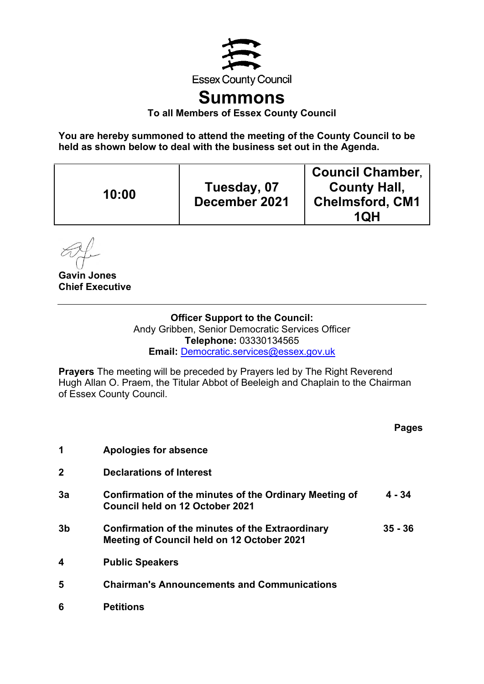

# **Summons**

**To all Members of Essex County Council** 

**You are hereby summoned to attend the meeting of the County Council to be held as shown below to deal with the business set out in the Agenda.** 

| 10:00 | Tuesday, 07<br>December 2021 | <b>Council Chamber,</b><br><b>County Hall,</b><br><b>Chelmsford, CM1</b><br>1QH |
|-------|------------------------------|---------------------------------------------------------------------------------|
|-------|------------------------------|---------------------------------------------------------------------------------|

**Gavin Jones Chief Executive** 

## **Officer Support to the Council:**

Andy Gribben, Senior Democratic Services Officer **Telephone:** 03330134565 **Email:** [Democratic.services@essex.gov.uk](mailto:Democratic.services@essex.gov.uk)

**Prayers** The meeting will be preceded by Prayers led by The Right Reverend Hugh Allan O. Praem, the Titular Abbot of Beeleigh and Chaplain to the Chairman of Essex County Council.

|                |                                                                                                       | Pages     |
|----------------|-------------------------------------------------------------------------------------------------------|-----------|
| 1              | Apologies for absence                                                                                 |           |
| $\mathbf 2$    | <b>Declarations of Interest</b>                                                                       |           |
| 3a             | Confirmation of the minutes of the Ordinary Meeting of<br>Council held on 12 October 2021             | 4 - 34    |
| 3 <sub>b</sub> | Confirmation of the minutes of the Extraordinary<br><b>Meeting of Council held on 12 October 2021</b> | $35 - 36$ |
| 4              | <b>Public Speakers</b>                                                                                |           |
| 5              | <b>Chairman's Announcements and Communications</b>                                                    |           |
| 6              | <b>Petitions</b>                                                                                      |           |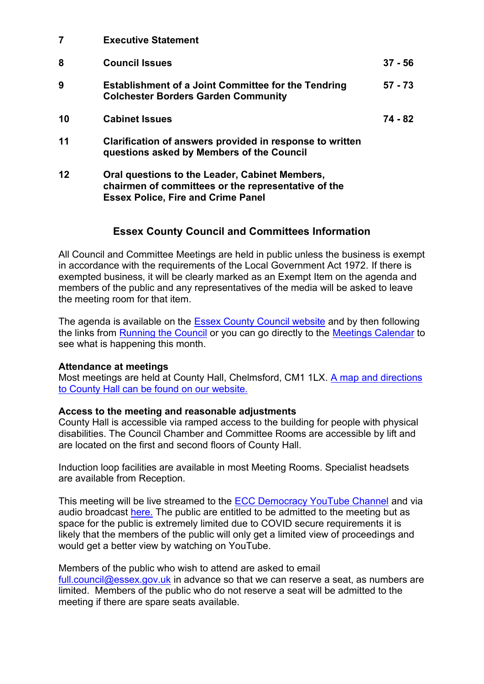**7 Executive Statement**

| 8  | <b>Council Issues</b>                                                                                    | $37 - 56$ |
|----|----------------------------------------------------------------------------------------------------------|-----------|
| 9  | <b>Establishment of a Joint Committee for the Tendring</b><br><b>Colchester Borders Garden Community</b> | $57 - 73$ |
| 10 | <b>Cabinet Issues</b>                                                                                    | 74 - 82   |
| 11 | Clarification of answers provided in response to written<br>questions asked by Members of the Council    |           |

**12 Oral questions to the Leader, Cabinet Members, chairmen of committees or the representative of the Essex Police, Fire and Crime Panel**

### **Essex County Council and Committees Information**

All Council and Committee Meetings are held in public unless the business is exempt in accordance with the requirements of the Local Government Act 1972. If there is exempted business, it will be clearly marked as an Exempt Item on the agenda and members of the public and any representatives of the media will be asked to leave the meeting room for that item.

The agenda is available on the **Essex County Council website** and by then following the links from [Running the Council](https://www.essex.gov.uk/topic/running-the-council) or you can go directly to the [Meetings Calendar](https://cmis.essex.gov.uk/essexcmis5/CalendarofMeetings.aspx) to see what is happening this month.

#### **Attendance at meetings**

Most meetings are held at County Hall, Chelmsford, CM1 1LX. A map and directions [to County Hall can be found on our website.](https://www.essex.gov.uk/visit-us)

#### **Access to the meeting and reasonable adjustments**

County Hall is accessible via ramped access to the building for people with physical disabilities. The Council Chamber and Committee Rooms are accessible by lift and are located on the first and second floors of County Hall.

Induction loop facilities are available in most Meeting Rooms. Specialist headsets are available from Reception.

This meeting will be live streamed to the **ECC Democracy YouTube Channel** and via audio broadcast [here.](https://cmis.essex.gov.uk/essexcmis5/CalendarofMeetings/tabid/73/ctl/ViewMeetingPublic/mid/410/Meeting/4636/Committee/50/Default.aspx) The public are entitled to be admitted to the meeting but as space for the public is extremely limited due to COVID secure requirements it is likely that the members of the public will only get a limited view of proceedings and would get a better view by watching on YouTube.

Members of the public who wish to attend are asked to email [full.council@essex.gov.uk](mailto:full.council@essex.gov.uk) in advance so that we can reserve a seat, as numbers are limited. Members of the public who do not reserve a seat will be admitted to the meeting if there are spare seats available.